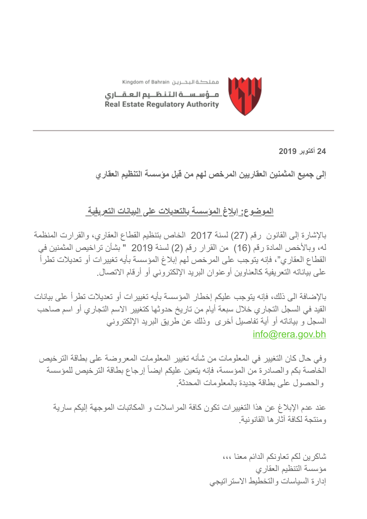

مملكة البحـــرين Kingdom of Bahrain مــؤسـســة الـتـنـظــيم الـعـقـــارى Real Estate Regulatory Authority

**24 أكتوبر 2019**

**إلى جمیع المثمنین العقاریین المرخص لھم من قبل مؤسسة التنظیم العقاري**

## **الموضوع: إبلاغ المؤسسة بالتعدیلات على البیانات التعریفیة**

بالإشارة إلى القانون رقم (27) لسنة 2017 الخاص بتنظیم القطاع العقاري، والقرارت المنظمة لھ، وبالأخص المادة رقم (16) من القرار رقم (2) لسنة 2019 " بشأن تراخیص المثمنین في القطاع العقاري"، فإنھ یتوجب على المرخص لھم إبلاغ المؤسسة بأیھ تغییرات أو تعدیلات تطرأ على بیاناتھ التعریفیة كالعناوین أوعنوان البرید الإلكتروني أو أرقام الاتصال.

بالإضافة الى ذلك، فإنھ یتوجب علیكم إخطار المؤسسة بأیھ تغییرات أو تعدیلات تطرأ على بیانات القید في السجل التجاري خلال سبعة أیام من تاریخ حدوثھا كتغییر الاسم التجاري أو اسم صاحب السجل و بیاناتھ أو أیة تفاصیل أخرى وذلك عن طریق البرید الإلكتروني [info@rera.gov.bh](mailto:info@rera.gov.bh)

وفي حال كان التغییر في المعلومات من شأنھ تغییر المعلومات المعروضة على بطاقة الترخیص الخاصة بكم والصادرة من المؤسسة، فإنھ یتعین علیكم ایضاً إرجاع بطاقة الترخیص للمؤسسة والحصول على بطاقة جدیدة بالمعلومات المحدثة.

عند عدم الإبلاغ عن ھذا التغییرات تكون كافة المراسلات و المكاتبات الموجھة إلیكم ساریة ومنتجة لكافة آثارھا القانونیة.

> شاكرین لكم تعاونكم الدائم معنا ،،، مؤسسة التنظیم العقاري إدارة السیاسات والتخطیط الاستراتیجي